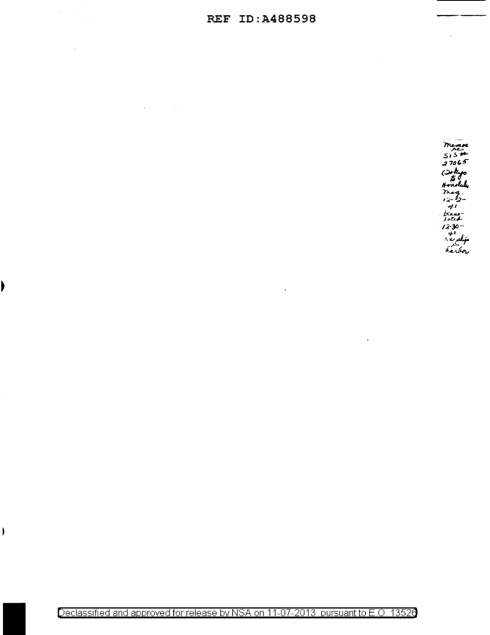## **REF ID:A488598**

 $\ddot{\phantom{a}}$ 

 $\label{eq:2} \frac{1}{\sqrt{2}}\left(\frac{1}{\sqrt{2}}\right)^{2} \left(\frac{1}{\sqrt{2}}\right)^{2} \left(\frac{1}{\sqrt{2}}\right)^{2}$ 

 $\blacktriangleright$ 

 $\big)$ 

 $\mathcal{A}(\mathbf{y})$  and  $\mathcal{A}(\mathbf{y})$  .

member<br>515#  $515$ <br>27065<br>(Iokyo<br>(Iokyo)<br>Honoluk<br>12-2- $\frac{12-22}{41}$ <br> $\frac{1}{2}$ <br> $\frac{1}{2}$ <br> $\frac{1}{2}$ <br> $\frac{1}{2}$ <br> $\frac{1}{2}$ <br> $\frac{1}{2}$ <br> $\frac{1}{2}$ <br> $\frac{1}{2}$ <br> $\frac{1}{2}$ <br> $\frac{1}{2}$ <br> $\frac{1}{2}$ <br> $\frac{1}{2}$ <br> $\frac{1}{2}$ <br> $\frac{1}{2}$ <br> $\frac{1}{2}$ 

 $\overline{a}$ 

Declassified and approved for release by NSA on 11-07-2013 pursuant to E.O. 13526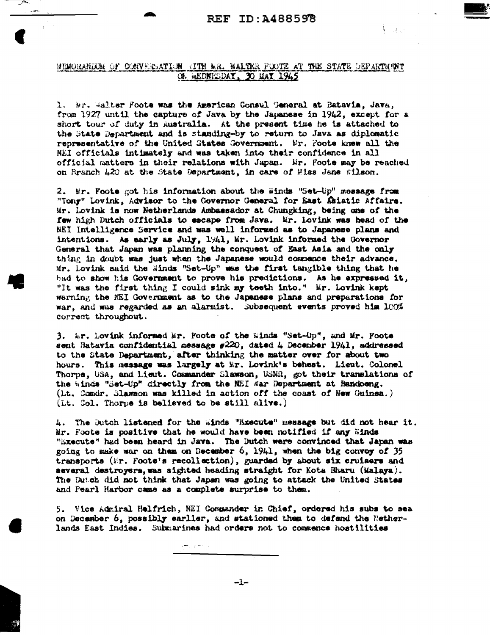$V_{\rm{max}}$ 

## MEMORANDUM OF CONVERSATION (ITH WR. WALTER FOOTE AT THE STATE DEPARTMENT OF HEDNESDAY, 30 HAY 1945

1. Mr. Walter Foote was the American Consul General at Batavia, Java, from 1927 until the capture of Java by the Japanese in 1942, except for a short tour of duty in Australia. At the present time he is attached to the State Department and is standing-by to return to Java as diplomatic representative of the United States Government. Mr. Foote knew all the NEI officials intimately and was taken into their confidence in all official matters in their relations with Japan. Mr. Foote may be reached on Branch 420 at the State Department, in care of Miss Jane #ilson.

2. Mr. Foote got his information about the Winds "Set-Up" message from "Tony" Lovink, Advisor to the Governor General for East Asiatic Affairs. Mr. Lovink is now Netherlands Asbassador at Chungking, being one of the few high Dutch officials to escape from Java. Mr. Lovink was head of the NEI Intelligence Service and was well informed as to Japanese plans and intentions. As early as July, 1941, Mr. Lovink informed the Governor General that Japan was planning the conquest of East Asia and the only thing in doubt was just when the Japanese would commence their advance. Mr. Lovink said the Winds "Set-Up" was the first tangible thing that he had to show his Government to prove his predictions. As he expressed it, "It was the first thing I could sink my teeth into." Mr. Lovink kept warning the NEI Government as to the Japanese plans and preparations for war, and was regarded as an alarmist. Subsequent events proved him 100% correct throughout.

3. Er. Lovink informed Mr. Foote of the Winds "Set-Up", and Mr. Foote sent Batavia confidential message #220, dated 4 December 1941, addressed to the State Department, after thinking the matter over for about two hours. This message was largely at Mr. Lovink's behest. Lieut. Colonel Thorpe, USA, and Lieut. Commander Slawson, USNR, got their translations of the Winds "Set-Up" directly from the NEI War Department at Bandoeng. (i.t. Comdr. Slawson was killed in action off the coast of New Cuinea.) (Lt. Col. Thorpe is believed to be still alive.)

4. The Dutch listened for the Winds "Execute" message but did not hear it. Mr. Foote is positive that he would have been notified if any Winds "Execute" had been heard in Java. The Dutch were convinced that Japan was going to make war on them on December 6, 1941, when the big convoy of 35 transports (Er. Foote's recollection), guarded by about six cruisers and several destroyers, was sighted heading straight for Kota Bharu (Malaya). The Dutch did not think that Japan was going to attack the United States and Pearl Harbor came as a complete surprise to them.

5. Vice Admiral Helfrich, NEI Commander in Chief, ordered his subs to sea on December 6, possibly earlier, and stationed them to defend the Netherlands East Indies. Submarines had orders not to commence hostilities

农建立。